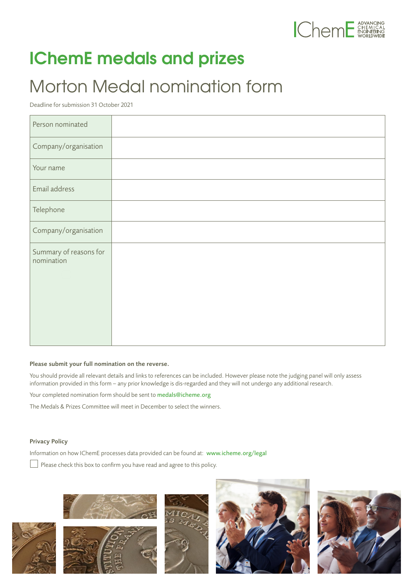

## **IChemE medals and prizes**

## Morton Medal nomination form

Deadline for submission 31 October 2021

| Person nominated                     |  |
|--------------------------------------|--|
| Company/organisation                 |  |
| Your name                            |  |
| Email address                        |  |
| Telephone                            |  |
| Company/organisation                 |  |
| Summary of reasons for<br>nomination |  |

## Please submit your full nomination on the reverse.

You should provide all relevant details and links to references can be included. However please note the judging panel will only assess information provided in this form – any prior knowledge is dis-regarded and they will not undergo any additional research.

Your completed nomination form should be sent to medals@icheme.org

The Medals & Prizes Committee will meet in December to select the winners.

## Privacy Policy

Information on how IChemE processes data provided can be found at: [www.icheme.org/legal](http://www.icheme.org/legal)

Please check this box to confirm you have read and agree to this policy.